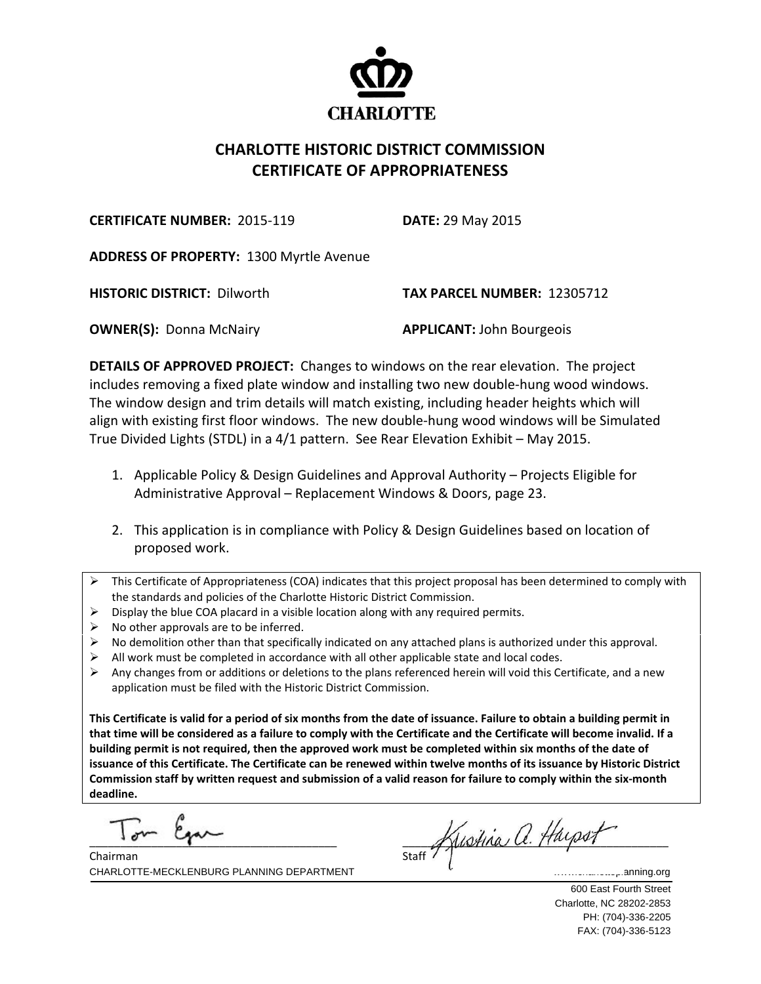

## **CHARLOTTE HISTORIC DISTRICT COMMISSION CERTIFICATE OF APPROPRIATENESS**

**CERTIFICATE NUMBER:** 2015‐119 **DATE:** 29 May 2015

**ADDRESS OF PROPERTY:** 1300 Myrtle Avenue

**HISTORIC DISTRICT:** Dilworth **TAX PARCEL NUMBER:** 12305712

**OWNER(S):** Donna McNairy **APPLICANT:** John Bourgeois

**DETAILS OF APPROVED PROJECT:** Changes to windows on the rear elevation. The project includes removing a fixed plate window and installing two new double‐hung wood windows. The window design and trim details will match existing, including header heights which will align with existing first floor windows. The new double‐hung wood windows will be Simulated True Divided Lights (STDL) in a 4/1 pattern. See Rear Elevation Exhibit – May 2015.

- 1. Applicable Policy & Design Guidelines and Approval Authority Projects Eligible for Administrative Approval – Replacement Windows & Doors, page 23.
- 2. This application is in compliance with Policy & Design Guidelines based on location of proposed work.
- $\triangleright$  This Certificate of Appropriateness (COA) indicates that this project proposal has been determined to comply with the standards and policies of the Charlotte Historic District Commission.
- $\triangleright$  Display the blue COA placard in a visible location along with any required permits.
- $\triangleright$  No other approvals are to be inferred.
- $\triangleright$  No demolition other than that specifically indicated on any attached plans is authorized under this approval.
- All work must be completed in accordance with all other applicable state and local codes.
- Any changes from or additions or deletions to the plans referenced herein will void this Certificate, and a new application must be filed with the Historic District Commission.

This Certificate is valid for a period of six months from the date of issuance. Failure to obtain a building permit in that time will be considered as a failure to comply with the Certificate and the Certificate will become invalid. If a building permit is not required, then the approved work must be completed within six months of the date of issuance of this Certificate. The Certificate can be renewed within twelve months of its issuance by Historic District Commission staff by written request and submission of a valid reason for failure to comply within the six-month **deadline.**

 $\Gamma$   $\sim$   $\sim$   $\sim$ 

 $\frac{1}{\text{Start}}$  Kustina a. Hayson

CHARLOTTE-MECKLENBURG PLANNING DEPARTMENT WE CHARLOTTE-MECKLENBURG PLANNING.org Chairman

 600 East Fourth Street Charlotte, NC 28202-2853 PH: (704)-336-2205 FAX: (704)-336-5123